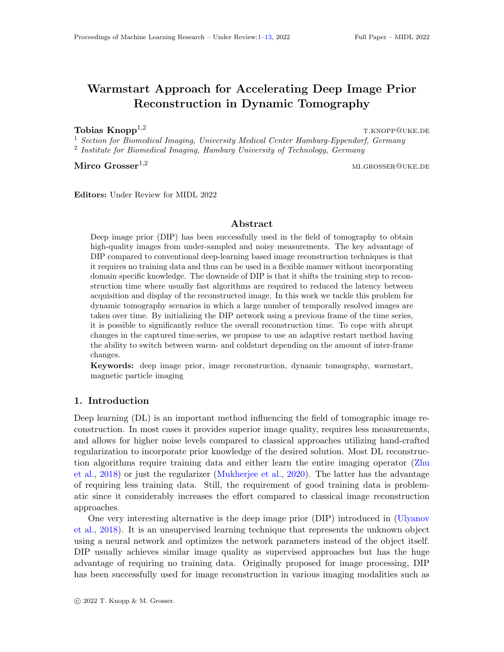# <span id="page-0-0"></span>Warmstart Approach for Accelerating Deep Image Prior Reconstruction in Dynamic Tomography

**Tobias Knopp**<sup>1,2</sup> the set of the set of the set of the set of the set of the set of the set of the set of the set of the set of the set of the set of the set of the set of the set of the set of the set of the set of the

<sup>1</sup> Section for Biomedical Imaging, University Medical Center Hamburg-Eppendorf, Germany <sup>2</sup> Institute for Biomedical Imaging, Hamburg University of Technology, Germany

Mirco Grosser<sup>1,2</sup> mi.grosser@uke.de

Editors: Under Review for MIDL 2022

# Abstract

Deep image prior (DIP) has been successfully used in the field of tomography to obtain high-quality images from under-sampled and noisy measurements. The key advantage of DIP compared to conventional deep-learning based image reconstruction techniques is that it requires no training data and thus can be used in a flexible manner without incorporating domain specific knowledge. The downside of DIP is that it shifts the training step to reconstruction time where usually fast algorithms are required to reduced the latency between acquisition and display of the reconstructed image. In this work we tackle this problem for dynamic tomography scenarios in which a large number of temporally resolved images are taken over time. By initializing the DIP network using a previous frame of the time series, it is possible to significantly reduce the overall reconstruction time. To cope with abrupt changes in the captured time-series, we propose to use an adaptive restart method having the ability to switch between warm- and coldstart depending on the amount of inter-frame changes.

Keywords: deep image prior, image reconstruction, dynamic tomography, warmstart, magnetic particle imaging

# 1. Introduction

Deep learning (DL) is an important method influencing the field of tomographic image reconstruction. In most cases it provides superior image quality, requires less measurements, and allows for higher noise levels compared to classical approaches utilizing hand-crafted regularization to incorporate prior knowledge of the desired solution. Most DL reconstruction algorithms require training data and either learn the entire imaging operator [\(Zhu](#page-9-0) [et al.,](#page-9-0) [2018\)](#page-9-0) or just the regularizer [\(Mukherjee et al.,](#page-9-1) [2020\)](#page-9-1). The latter has the advantage of requiring less training data. Still, the requirement of good training data is problematic since it considerably increases the effort compared to classical image reconstruction approaches.

One very interesting alternative is the deep image prior (DIP) introduced in [\(Ulyanov](#page-9-2) [et al.,](#page-9-2) [2018\)](#page-9-2). It is an unsupervised learning technique that represents the unknown object using a neural network and optimizes the network parameters instead of the object itself. DIP usually achieves similar image quality as supervised approaches but has the huge advantage of requiring no training data. Originally proposed for image processing, DIP has been successfully used for image reconstruction in various imaging modalities such as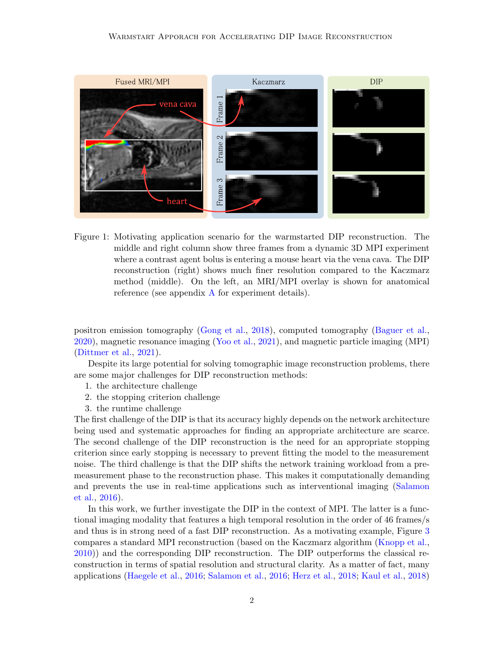

<span id="page-1-0"></span>Figure 1: Motivating application scenario for the warmstarted DIP reconstruction. The middle and right column show three frames from a dynamic 3D MPI experiment where a contrast agent bolus is entering a mouse heart via the vena cava. The DIP reconstruction (right) shows much finer resolution compared to the Kaczmarz method (middle). On the left, an MRI/MPI overlay is shown for anatomical reference (see appendix  $\Lambda$  for experiment details).

positron emission tomography [\(Gong et al.,](#page-8-0) [2018\)](#page-8-0), computed tomography [\(Baguer et al.,](#page-8-1) [2020\)](#page-8-1), magnetic resonance imaging [\(Yoo et al.,](#page-9-4) [2021\)](#page-9-4), and magnetic particle imaging (MPI) [\(Dittmer et al.,](#page-8-2) [2021\)](#page-8-2).

Despite its large potential for solving tomographic image reconstruction problems, there are some major challenges for DIP reconstruction methods:

- 1. the architecture challenge
- 2. the stopping criterion challenge
- 3. the runtime challenge

The first challenge of the DIP is that its accuracy highly depends on the network architecture being used and systematic approaches for finding an appropriate architecture are scarce. The second challenge of the DIP reconstruction is the need for an appropriate stopping criterion since early stopping is necessary to prevent fitting the model to the measurement noise. The third challenge is that the DIP shifts the network training workload from a premeasurement phase to the reconstruction phase. This makes it computationally demanding and prevents the use in real-time applications such as interventional imaging [\(Salamon](#page-9-5) [et al.,](#page-9-5) [2016\)](#page-9-5).

In this work, we further investigate the DIP in the context of MPI. The latter is a functional imaging modality that features a high temporal resolution in the order of 46 frames/s and thus is in strong need of a fast DIP reconstruction. As a motivating example, Figure [3](#page-7-0) compares a standard MPI reconstruction (based on the Kaczmarz algorithm [\(Knopp et al.,](#page-9-6) [2010\)](#page-9-6)) and the corresponding DIP reconstruction. The DIP outperforms the classical reconstruction in terms of spatial resolution and structural clarity. As a matter of fact, many applications [\(Haegele et al.,](#page-8-3) [2016;](#page-8-3) [Salamon et al.,](#page-9-5) [2016;](#page-9-5) [Herz et al.,](#page-8-4) [2018;](#page-8-4) [Kaul et al.,](#page-8-5) [2018\)](#page-8-5)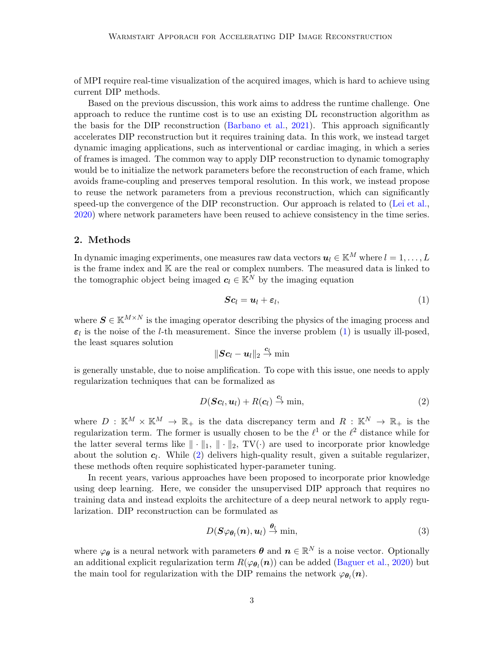of MPI require real-time visualization of the acquired images, which is hard to achieve using current DIP methods.

Based on the previous discussion, this work aims to address the runtime challenge. One approach to reduce the runtime cost is to use an existing DL reconstruction algorithm as the basis for the DIP reconstruction [\(Barbano et al.,](#page-8-6) [2021\)](#page-8-6). This approach significantly accelerates DIP reconstruction but it requires training data. In this work, we instead target dynamic imaging applications, such as interventional or cardiac imaging, in which a series of frames is imaged. The common way to apply DIP reconstruction to dynamic tomography would be to initialize the network parameters before the reconstruction of each frame, which avoids frame-coupling and preserves temporal resolution. In this work, we instead propose to reuse the network parameters from a previous reconstruction, which can significantly speed-up the convergence of the DIP reconstruction. Our approach is related to [\(Lei et al.,](#page-9-7) [2020\)](#page-9-7) where network parameters have been reused to achieve consistency in the time series.

## 2. Methods

In dynamic imaging experiments, one measures raw data vectors  $u_l \in \mathbb{K}^M$  where  $l = 1, \ldots, L$ is the frame index and K are the real or complex numbers. The measured data is linked to the tomographic object being imaged  $c_l \in \mathbb{K}^N$  by the imaging equation

<span id="page-2-0"></span>
$$
Sc_l = u_l + \varepsilon_l, \tag{1}
$$

where  $\mathbf{S} \in \mathbb{K}^{M \times N}$  is the imaging operator describing the physics of the imaging process and  $\varepsilon_l$  is the noise of the *l*-th measurement. Since the inverse problem [\(1\)](#page-2-0) is usually ill-posed, the least squares solution

$$
\|\bm{S}\bm{c}_l-\bm{u}_l\|_2\overset{\bm{c}_l}{\to} \min
$$

is generally unstable, due to noise amplification. To cope with this issue, one needs to apply regularization techniques that can be formalized as

<span id="page-2-1"></span>
$$
D(\boldsymbol{Sc}_l, \boldsymbol{u}_l) + R(\boldsymbol{c}_l) \stackrel{\boldsymbol{c}_l}{\to} \min,\tag{2}
$$

where  $D : \mathbb{K}^M \times \mathbb{K}^M \to \mathbb{R}_+$  is the data discrepancy term and  $R : \mathbb{K}^N \to \mathbb{R}_+$  is the regularization term. The former is usually chosen to be the  $\ell^1$  or the  $\ell^2$  distance while for the latter several terms like  $\|\cdot\|_1$ ,  $\|\cdot\|_2$ , TV( $\cdot$ ) are used to incorporate prior knowledge about the solution  $c_l$ . While  $(2)$  delivers high-quality result, given a suitable regularizer, these methods often require sophisticated hyper-parameter tuning.

In recent years, various approaches have been proposed to incorporate prior knowledge using deep learning. Here, we consider the unsupervised DIP approach that requires no training data and instead exploits the architecture of a deep neural network to apply regularization. DIP reconstruction can be formulated as

<span id="page-2-2"></span>
$$
D(\boldsymbol{S}\varphi_{\boldsymbol{\theta}_l}(\boldsymbol{n}),\boldsymbol{u}_l) \xrightarrow{\boldsymbol{\theta}_l} \min,\tag{3}
$$

where  $\varphi_{\theta}$  is a neural network with parameters  $\theta$  and  $n \in \mathbb{R}^N$  is a noise vector. Optionally an additional explicit regularization term  $R(\varphi_{\theta_l}(\bm{n}))$  can be added [\(Baguer et al.,](#page-8-1) [2020\)](#page-8-1) but the main tool for regularization with the DIP remains the network  $\varphi_{\theta_l}(n)$ .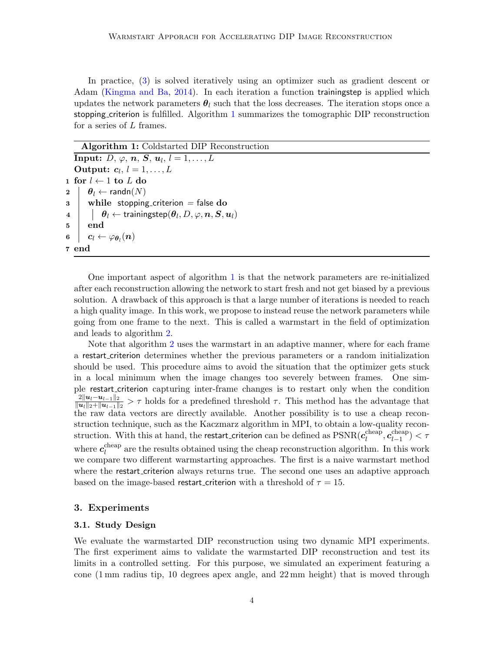In practice, [\(3\)](#page-2-2) is solved iteratively using an optimizer such as gradient descent or Adam [\(Kingma and Ba,](#page-8-7) [2014\)](#page-8-7). In each iteration a function trainingstep is applied which updates the network parameters  $\theta_l$  such that the loss decreases. The iteration stops once a stopping criterion is fulfilled. Algorithm [1](#page-3-0) summarizes the tomographic DIP reconstruction for a series of L frames.

#### Algorithm 1: Coldstarted DIP Reconstruction

<span id="page-3-0"></span> $\textbf{Input:}\;\textit{D,}\;\varphi,\,\boldsymbol{n},\,\boldsymbol{S},\,\boldsymbol{u}_l,\,l=1,\ldots,L$ Output:  $c_l, l = 1, \ldots, L$ 1 for  $l$  ← 1 to  $L$  do  $2 \mid \theta_l \leftarrow \text{randn}(N)$  $3$  while stopping criterion = false do  $\begin{array}{c|c} \textbf{4} & \textbf{1} & \textbf{9}_l \leftarrow \text{trainingstep}(\boldsymbol{\theta}_l, D, \varphi, \textbf{\textit{n}}, \textbf{\textit{S}}, \textbf{\textit{u}}_l) \end{array}$  $5 \mid end$ 6  $\left| \quad \boldsymbol{c}_l \leftarrow \varphi_{\boldsymbol{\theta}_l}(\boldsymbol{n}) \right|$ 7 end

One important aspect of algorithm [1](#page-3-0) is that the network parameters are re-initialized after each reconstruction allowing the network to start fresh and not get biased by a previous solution. A drawback of this approach is that a large number of iterations is needed to reach a high quality image. In this work, we propose to instead reuse the network parameters while going from one frame to the next. This is called a warmstart in the field of optimization and leads to algorithm [2.](#page-4-0)

Note that algorithm [2](#page-4-0) uses the warmstart in an adaptive manner, where for each frame a restart criterion determines whether the previous parameters or a random initialization should be used. This procedure aims to avoid the situation that the optimizer gets stuck in a local minimum when the image changes too severely between frames. One simple restart criterion capturing inter-frame changes is to restart only when the condition  $2\|\boldsymbol{u}_l-\boldsymbol{u}_{l-1}\|_2$  $\frac{2||u_i-u_{i-1}||_2}{||u_i||_2+||u_{i-1}||_2} > \tau$  holds for a predefined threshold  $\tau$ . This method has the advantage that the raw data vectors are directly available. Another possibility is to use a cheap reconstruction technique, such as the Kaczmarz algorithm in MPI, to obtain a low-quality reconstruction. With this at hand, the restart criterion can be defined as  $PSNR(c<sub>l</sub><sup>cheap</sup>)$  $\overline{\mathcal{C}}_l^{\text{cheap}}, \overline{\mathcal{C}}_{l-1}^{\text{cheap}}$  $\binom{c}{l-1}$  <  $\tau$ where  $c_l^{\text{cheap}}$  $\mathcal{U}_l^{\text{cineap}}$  are the results obtained using the cheap reconstruction algorithm. In this work we compare two different warmstarting approaches. The first is a naive warmstart method where the restart criterion always returns true. The second one uses an adaptive approach based on the image-based restart criterion with a threshold of  $\tau = 15$ .

## 3. Experiments

## 3.1. Study Design

We evaluate the warmstarted DIP reconstruction using two dynamic MPI experiments. The first experiment aims to validate the warmstarted DIP reconstruction and test its limits in a controlled setting. For this purpose, we simulated an experiment featuring a cone (1 mm radius tip, 10 degrees apex angle, and 22 mm height) that is moved through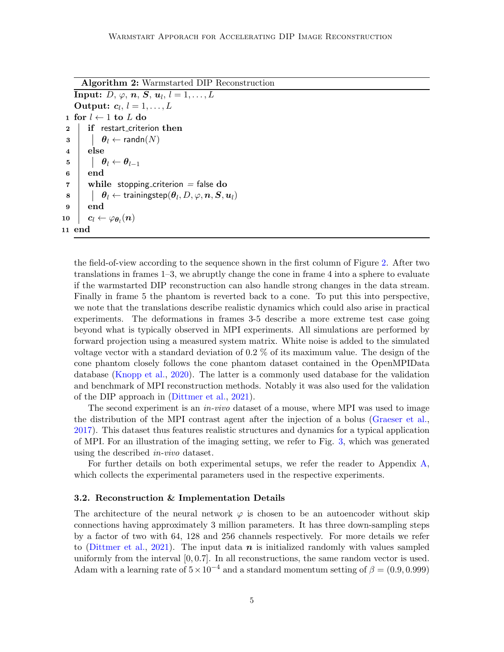<span id="page-4-0"></span>Algorithm 2: Warmstarted DIP Reconstruction  $\textbf{Input:}\;\textit{D, }\varphi,\,\boldsymbol{n},\,\boldsymbol{S},\,\boldsymbol{u}_l,\,l=1,\ldots,L$ Output:  $c_l, l = 1, \ldots, L$ 1 for  $l \leftarrow 1$  to L do 2 if restart\_criterion then  $\mathbf{3}$  |  $\theta_l \leftarrow \text{randn}(N)$ 4 else 5  $\theta_l \leftarrow \theta_{l-1}$  $6 \mid end$  $7 \parallel$  while stopping criterion = false do  $\bm{s} \quad | \quad \mid \quad \bm{\theta}_l \leftarrow \text{trainingstep}(\bm{\theta}_l, D, \varphi, \bm{n}, \bm{S}, \bm{u}_l)$ 9 end  $\begin{array}{|c|c|c|}\hline \textbf{10} & \textbf{c}_l \leftarrow \varphi_{\bm{\theta}_l}(\bm{n}) \ \hline \end{array}$ 11 end

the field-of-view according to the sequence shown in the first column of Figure [2.](#page-5-0) After two translations in frames 1–3, we abruptly change the cone in frame 4 into a sphere to evaluate if the warmstarted DIP reconstruction can also handle strong changes in the data stream. Finally in frame 5 the phantom is reverted back to a cone. To put this into perspective, we note that the translations describe realistic dynamics which could also arise in practical experiments. The deformations in frames 3-5 describe a more extreme test case going beyond what is typically observed in MPI experiments. All simulations are performed by forward projection using a measured system matrix. White noise is added to the simulated voltage vector with a standard deviation of 0.2 % of its maximum value. The design of the cone phantom closely follows the cone phantom dataset contained in the OpenMPIData database [\(Knopp et al.,](#page-9-8) [2020\)](#page-9-8). The latter is a commonly used database for the validation and benchmark of MPI reconstruction methods. Notably it was also used for the validation of the DIP approach in [\(Dittmer et al.,](#page-8-2) [2021\)](#page-8-2).

The second experiment is an *in-vivo* dataset of a mouse, where MPI was used to image the distribution of the MPI contrast agent after the injection of a bolus [\(Graeser et al.,](#page-8-8) [2017\)](#page-8-8). This dataset thus features realistic structures and dynamics for a typical application of MPI. For an illustration of the imaging setting, we refer to Fig. [3,](#page-7-0) which was generated using the described in-vivo dataset.

For further details on both experimental setups, we refer the reader to Appendix [A,](#page-9-3) which collects the experimental parameters used in the respective experiments.

#### 3.2. Reconstruction & Implementation Details

The architecture of the neural network  $\varphi$  is chosen to be an autoencoder without skip connections having approximately 3 million parameters. It has three down-sampling steps by a factor of two with 64, 128 and 256 channels respectively. For more details we refer to [\(Dittmer et al.,](#page-8-2) [2021\)](#page-8-2). The input data  $n$  is initialized randomly with values sampled uniformly from the interval  $[0, 0.7]$ . In all reconstructions, the same random vector is used. Adam with a learning rate of  $5 \times 10^{-4}$  and a standard momentum setting of  $\beta = (0.9, 0.999)$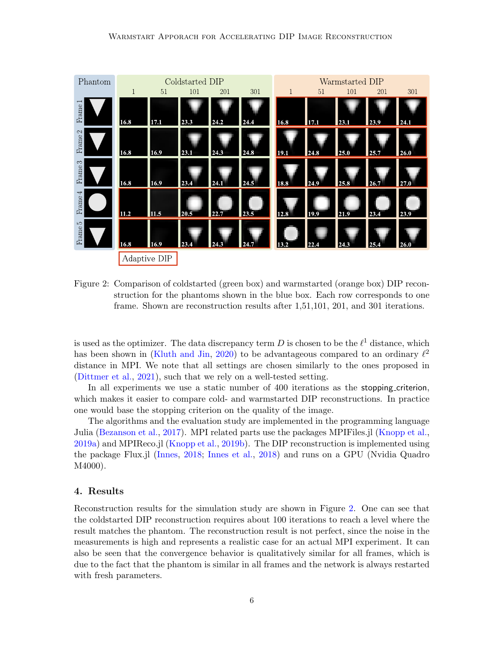

<span id="page-5-0"></span>Figure 2: Comparison of coldstarted (green box) and warmstarted (orange box) DIP reconstruction for the phantoms shown in the blue box. Each row corresponds to one frame. Shown are reconstruction results after 1,51,101, 201, and 301 iterations.

is used as the optimizer. The data discrepancy term D is chosen to be the  $\ell^1$  distance, which has been shown in [\(Kluth and Jin,](#page-9-9) [2020\)](#page-9-9) to be advantageous compared to an ordinary  $\ell^2$ distance in MPI. We note that all settings are chosen similarly to the ones proposed in [\(Dittmer et al.,](#page-8-2) [2021\)](#page-8-2), such that we rely on a well-tested setting.

In all experiments we use a static number of 400 iterations as the stopping criterion, which makes it easier to compare cold- and warmstarted DIP reconstructions. In practice one would base the stopping criterion on the quality of the image.

The algorithms and the evaluation study are implemented in the programming language Julia [\(Bezanson et al.,](#page-8-9) [2017\)](#page-8-9). MPI related parts use the packages MPIFiles.jl [\(Knopp et al.,](#page-9-10) [2019a\)](#page-9-10) and MPIReco.jl [\(Knopp et al.,](#page-9-11) [2019b\)](#page-9-11). The DIP reconstruction is implemented using the package Flux.jl [\(Innes,](#page-8-10) [2018;](#page-8-10) [Innes et al.,](#page-8-11) [2018\)](#page-8-11) and runs on a GPU (Nvidia Quadro M4000).

## 4. Results

Reconstruction results for the simulation study are shown in Figure [2.](#page-5-0) One can see that the coldstarted DIP reconstruction requires about 100 iterations to reach a level where the result matches the phantom. The reconstruction result is not perfect, since the noise in the measurements is high and represents a realistic case for an actual MPI experiment. It can also be seen that the convergence behavior is qualitatively similar for all frames, which is due to the fact that the phantom is similar in all frames and the network is always restarted with fresh parameters.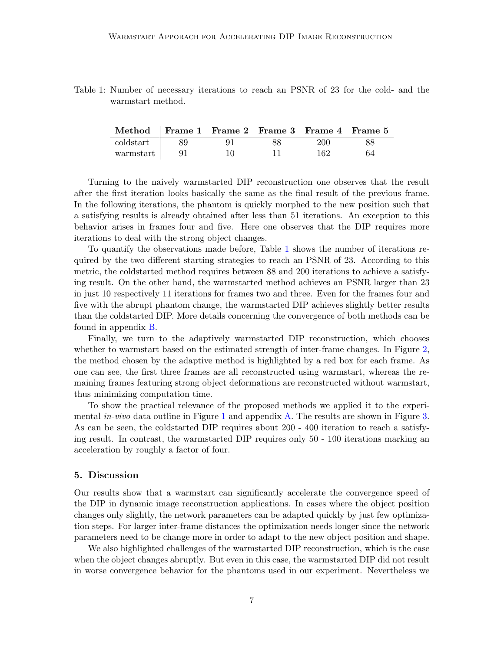<span id="page-6-0"></span>Table 1: Number of necessary iterations to reach an PSNR of 23 for the cold- and the warmstart method.

| Method Frame 1 Frame 2 Frame 3 Frame 4 Frame 5 |      |     |    |     |    |
|------------------------------------------------|------|-----|----|-----|----|
| coldstart                                      | 89.  |     | 88 | 200 | 88 |
| warmstart                                      | - 91 | 10. |    | 162 | 64 |

Turning to the naively warmstarted DIP reconstruction one observes that the result after the first iteration looks basically the same as the final result of the previous frame. In the following iterations, the phantom is quickly morphed to the new position such that a satisfying results is already obtained after less than 51 iterations. An exception to this behavior arises in frames four and five. Here one observes that the DIP requires more iterations to deal with the strong object changes.

To quantify the observations made before, Table [1](#page-6-0) shows the number of iterations required by the two different starting strategies to reach an PSNR of 23. According to this metric, the coldstarted method requires between 88 and 200 iterations to achieve a satisfying result. On the other hand, the warmstarted method achieves an PSNR larger than 23 in just 10 respectively 11 iterations for frames two and three. Even for the frames four and five with the abrupt phantom change, the warmstarted DIP achieves slightly better results than the coldstarted DIP. More details concerning the convergence of both methods can be found in appendix [B.](#page-10-0)

Finally, we turn to the adaptively warmstarted DIP reconstruction, which chooses whether to warmstart based on the estimated strength of inter-frame changes. In Figure [2,](#page-5-0) the method chosen by the adaptive method is highlighted by a red box for each frame. As one can see, the first three frames are all reconstructed using warmstart, whereas the remaining frames featuring strong object deformations are reconstructed without warmstart, thus minimizing computation time.

To show the practical relevance of the proposed methods we applied it to the experimental *in-vivo* data outline in Figure [1](#page-1-0) and appendix [A.](#page-9-3) The results are shown in Figure [3.](#page-7-0) As can be seen, the coldstarted DIP requires about 200 - 400 iteration to reach a satisfying result. In contrast, the warmstarted DIP requires only 50 - 100 iterations marking an acceleration by roughly a factor of four.

# 5. Discussion

Our results show that a warmstart can significantly accelerate the convergence speed of the DIP in dynamic image reconstruction applications. In cases where the object position changes only slightly, the network parameters can be adapted quickly by just few optimization steps. For larger inter-frame distances the optimization needs longer since the network parameters need to be change more in order to adapt to the new object position and shape.

We also highlighted challenges of the warmstarted DIP reconstruction, which is the case when the object changes abruptly. But even in this case, the warmstarted DIP did not result in worse convergence behavior for the phantoms used in our experiment. Nevertheless we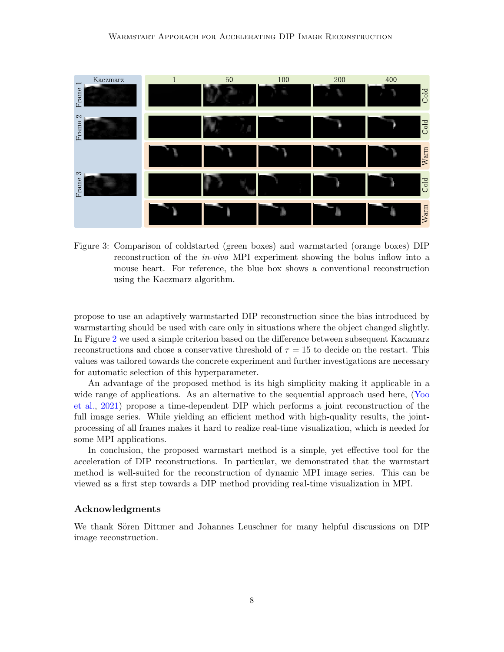

<span id="page-7-0"></span>Figure 3: Comparison of coldstarted (green boxes) and warmstarted (orange boxes) DIP reconstruction of the in-vivo MPI experiment showing the bolus inflow into a mouse heart. For reference, the blue box shows a conventional reconstruction using the Kaczmarz algorithm.

propose to use an adaptively warmstarted DIP reconstruction since the bias introduced by warmstarting should be used with care only in situations where the object changed slightly. In Figure [2](#page-5-0) we used a simple criterion based on the difference between subsequent Kaczmarz reconstructions and chose a conservative threshold of  $\tau = 15$  to decide on the restart. This values was tailored towards the concrete experiment and further investigations are necessary for automatic selection of this hyperparameter.

An advantage of the proposed method is its high simplicity making it applicable in a wide range of applications. As an alternative to the sequential approach used here, [\(Yoo](#page-9-4) [et al.,](#page-9-4) [2021\)](#page-9-4) propose a time-dependent DIP which performs a joint reconstruction of the full image series. While yielding an efficient method with high-quality results, the jointprocessing of all frames makes it hard to realize real-time visualization, which is needed for some MPI applications.

In conclusion, the proposed warmstart method is a simple, yet effective tool for the acceleration of DIP reconstructions. In particular, we demonstrated that the warmstart method is well-suited for the reconstruction of dynamic MPI image series. This can be viewed as a first step towards a DIP method providing real-time visualization in MPI.

# Acknowledgments

We thank Sören Dittmer and Johannes Leuschner for many helpful discussions on DIP image reconstruction.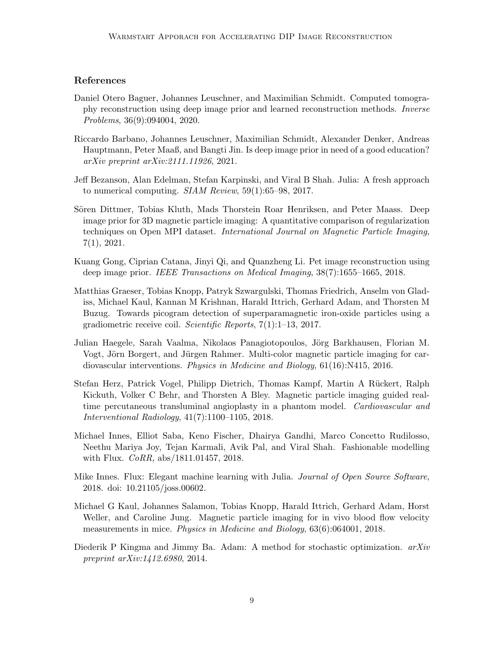# References

- <span id="page-8-1"></span>Daniel Otero Baguer, Johannes Leuschner, and Maximilian Schmidt. Computed tomography reconstruction using deep image prior and learned reconstruction methods. Inverse Problems, 36(9):094004, 2020.
- <span id="page-8-6"></span>Riccardo Barbano, Johannes Leuschner, Maximilian Schmidt, Alexander Denker, Andreas Hauptmann, Peter Maaß, and Bangti Jin. Is deep image prior in need of a good education? arXiv preprint arXiv:2111.11926, 2021.
- <span id="page-8-9"></span>Jeff Bezanson, Alan Edelman, Stefan Karpinski, and Viral B Shah. Julia: A fresh approach to numerical computing. SIAM Review, 59(1):65–98, 2017.
- <span id="page-8-2"></span>Sören Dittmer, Tobias Kluth, Mads Thorstein Roar Henriksen, and Peter Maass. Deep image prior for 3D magnetic particle imaging: A quantitative comparison of regularization techniques on Open MPI dataset. International Journal on Magnetic Particle Imaging, 7(1), 2021.
- <span id="page-8-0"></span>Kuang Gong, Ciprian Catana, Jinyi Qi, and Quanzheng Li. Pet image reconstruction using deep image prior. IEEE Transactions on Medical Imaging, 38(7):1655–1665, 2018.
- <span id="page-8-8"></span>Matthias Graeser, Tobias Knopp, Patryk Szwargulski, Thomas Friedrich, Anselm von Gladiss, Michael Kaul, Kannan M Krishnan, Harald Ittrich, Gerhard Adam, and Thorsten M Buzug. Towards picogram detection of superparamagnetic iron-oxide particles using a gradiometric receive coil. Scientific Reports, 7(1):1–13, 2017.
- <span id="page-8-3"></span>Julian Haegele, Sarah Vaalma, Nikolaos Panagiotopoulos, Jörg Barkhausen, Florian M. Vogt, Jörn Borgert, and Jürgen Rahmer. Multi-color magnetic particle imaging for cardiovascular interventions. Physics in Medicine and Biology, 61(16):N415, 2016.
- <span id="page-8-4"></span>Stefan Herz, Patrick Vogel, Philipp Dietrich, Thomas Kampf, Martin A Rückert, Ralph Kickuth, Volker C Behr, and Thorsten A Bley. Magnetic particle imaging guided realtime percutaneous transluminal angioplasty in a phantom model. Cardiovascular and Interventional Radiology, 41(7):1100–1105, 2018.
- <span id="page-8-11"></span>Michael Innes, Elliot Saba, Keno Fischer, Dhairya Gandhi, Marco Concetto Rudilosso, Neethu Mariya Joy, Tejan Karmali, Avik Pal, and Viral Shah. Fashionable modelling with Flux. *CoRR*, abs/1811.01457, 2018.
- <span id="page-8-10"></span>Mike Innes. Flux: Elegant machine learning with Julia. Journal of Open Source Software, 2018. doi: 10.21105/joss.00602.
- <span id="page-8-5"></span>Michael G Kaul, Johannes Salamon, Tobias Knopp, Harald Ittrich, Gerhard Adam, Horst Weller, and Caroline Jung. Magnetic particle imaging for in vivo blood flow velocity measurements in mice. Physics in Medicine and Biology, 63(6):064001, 2018.
- <span id="page-8-7"></span>Diederik P Kingma and Jimmy Ba. Adam: A method for stochastic optimization.  $arXiv$ preprint arXiv:1412.6980, 2014.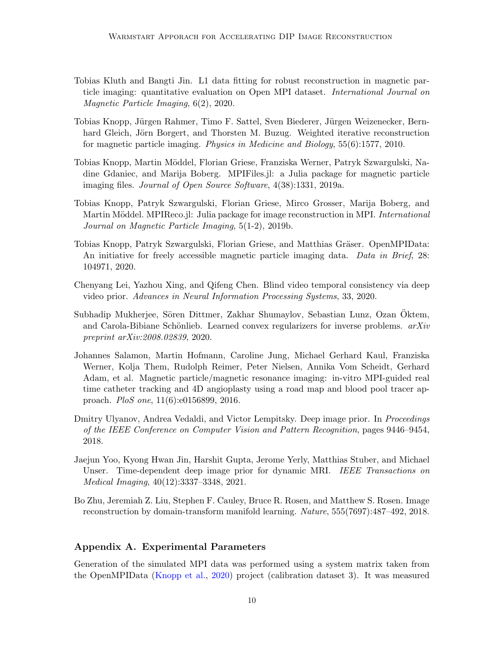- <span id="page-9-9"></span>Tobias Kluth and Bangti Jin. L1 data fitting for robust reconstruction in magnetic particle imaging: quantitative evaluation on Open MPI dataset. International Journal on Magnetic Particle Imaging, 6(2), 2020.
- <span id="page-9-6"></span>Tobias Knopp, Jürgen Rahmer, Timo F. Sattel, Sven Biederer, Jürgen Weizenecker, Bernhard Gleich, Jörn Borgert, and Thorsten M. Buzug. Weighted iterative reconstruction for magnetic particle imaging. Physics in Medicine and Biology, 55(6):1577, 2010.
- <span id="page-9-10"></span>Tobias Knopp, Martin Möddel, Florian Griese, Franziska Werner, Patryk Szwargulski, Nadine Gdaniec, and Marija Boberg. MPIFiles.jl: a Julia package for magnetic particle imaging files. Journal of Open Source Software, 4(38):1331, 2019a.
- <span id="page-9-11"></span>Tobias Knopp, Patryk Szwargulski, Florian Griese, Mirco Grosser, Marija Boberg, and Martin Möddel. MPIReco.jl: Julia package for image reconstruction in MPI. *International* Journal on Magnetic Particle Imaging, 5(1-2), 2019b.
- <span id="page-9-8"></span>Tobias Knopp, Patryk Szwargulski, Florian Griese, and Matthias Gräser. OpenMPIData: An initiative for freely accessible magnetic particle imaging data. Data in Brief, 28: 104971, 2020.
- <span id="page-9-7"></span>Chenyang Lei, Yazhou Xing, and Qifeng Chen. Blind video temporal consistency via deep video prior. Advances in Neural Information Processing Systems, 33, 2020.
- <span id="page-9-1"></span>Subhadip Mukherjee, Sören Dittmer, Zakhar Shumaylov, Sebastian Lunz, Ozan Oktem, and Carola-Bibiane Schönlieb. Learned convex regularizers for inverse problems.  $arXiv$ preprint arXiv:2008.02839, 2020.
- <span id="page-9-5"></span>Johannes Salamon, Martin Hofmann, Caroline Jung, Michael Gerhard Kaul, Franziska Werner, Kolja Them, Rudolph Reimer, Peter Nielsen, Annika Vom Scheidt, Gerhard Adam, et al. Magnetic particle/magnetic resonance imaging: in-vitro MPI-guided real time catheter tracking and 4D angioplasty using a road map and blood pool tracer approach. PloS one, 11(6):e0156899, 2016.
- <span id="page-9-2"></span>Dmitry Ulyanov, Andrea Vedaldi, and Victor Lempitsky. Deep image prior. In Proceedings of the IEEE Conference on Computer Vision and Pattern Recognition, pages 9446–9454, 2018.
- <span id="page-9-4"></span>Jaejun Yoo, Kyong Hwan Jin, Harshit Gupta, Jerome Yerly, Matthias Stuber, and Michael Unser. Time-dependent deep image prior for dynamic MRI. IEEE Transactions on Medical Imaging, 40(12):3337–3348, 2021.
- <span id="page-9-0"></span>Bo Zhu, Jeremiah Z. Liu, Stephen F. Cauley, Bruce R. Rosen, and Matthew S. Rosen. Image reconstruction by domain-transform manifold learning. Nature, 555(7697):487–492, 2018.

# <span id="page-9-3"></span>Appendix A. Experimental Parameters

Generation of the simulated MPI data was performed using a system matrix taken from the OpenMPIData [\(Knopp et al.,](#page-9-8) [2020\)](#page-9-8) project (calibration dataset 3). It was measured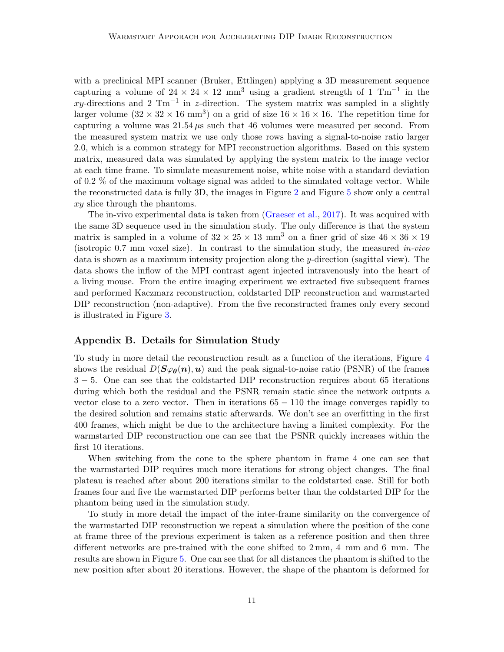with a preclinical MPI scanner (Bruker, Ettlingen) applying a 3D measurement sequence capturing a volume of  $24 \times 24 \times 12$  mm<sup>3</sup> using a gradient strength of 1 Tm<sup>-1</sup> in the xy-directions and 2 Tm<sup>-1</sup> in z-direction. The system matrix was sampled in a slightly larger volume  $(32 \times 32 \times 16 \text{ mm}^3)$  on a grid of size  $16 \times 16 \times 16$ . The repetition time for capturing a volume was  $21.54 \mu s$  such that 46 volumes were measured per second. From the measured system matrix we use only those rows having a signal-to-noise ratio larger 2.0, which is a common strategy for MPI reconstruction algorithms. Based on this system matrix, measured data was simulated by applying the system matrix to the image vector at each time frame. To simulate measurement noise, white noise with a standard deviation of 0.2 % of the maximum voltage signal was added to the simulated voltage vector. While the reconstructed data is fully 3D, the images in Figure [2](#page-5-0) and Figure [5](#page-12-1) show only a central xy slice through the phantoms.

The in-vivo experimental data is taken from [\(Graeser et al.,](#page-8-8) [2017\)](#page-8-8). It was acquired with the same 3D sequence used in the simulation study. The only difference is that the system matrix is sampled in a volume of  $32 \times 25 \times 13$  mm<sup>3</sup> on a finer grid of size  $46 \times 36 \times 19$ (isotropic 0.7 mm voxel size). In contrast to the simulation study, the measured  $in-vivo$ data is shown as a maximum intensity projection along the y-direction (sagittal view). The data shows the inflow of the MPI contrast agent injected intravenously into the heart of a living mouse. From the entire imaging experiment we extracted five subsequent frames and performed Kaczmarz reconstruction, coldstarted DIP reconstruction and warmstarted DIP reconstruction (non-adaptive). From the five reconstructed frames only every second is illustrated in Figure [3.](#page-7-0)

## <span id="page-10-0"></span>Appendix B. Details for Simulation Study

To study in more detail the reconstruction result as a function of the iterations, Figure [4](#page-11-0) shows the residual  $D(\mathbf{S}\varphi_{\theta}(n),u)$  and the peak signal-to-noise ratio (PSNR) of the frames 3 − 5. One can see that the coldstarted DIP reconstruction requires about 65 iterations during which both the residual and the PSNR remain static since the network outputs a vector close to a zero vector. Then in iterations  $65 - 110$  the image converges rapidly to the desired solution and remains static afterwards. We don't see an overfitting in the first 400 frames, which might be due to the architecture having a limited complexity. For the warmstarted DIP reconstruction one can see that the PSNR quickly increases within the first 10 iterations.

When switching from the cone to the sphere phantom in frame 4 one can see that the warmstarted DIP requires much more iterations for strong object changes. The final plateau is reached after about 200 iterations similar to the coldstarted case. Still for both frames four and five the warmstarted DIP performs better than the coldstarted DIP for the phantom being used in the simulation study.

To study in more detail the impact of the inter-frame similarity on the convergence of the warmstarted DIP reconstruction we repeat a simulation where the position of the cone at frame three of the previous experiment is taken as a reference position and then three different networks are pre-trained with the cone shifted to 2 mm, 4 mm and 6 mm. The results are shown in Figure [5.](#page-12-1) One can see that for all distances the phantom is shifted to the new position after about 20 iterations. However, the shape of the phantom is deformed for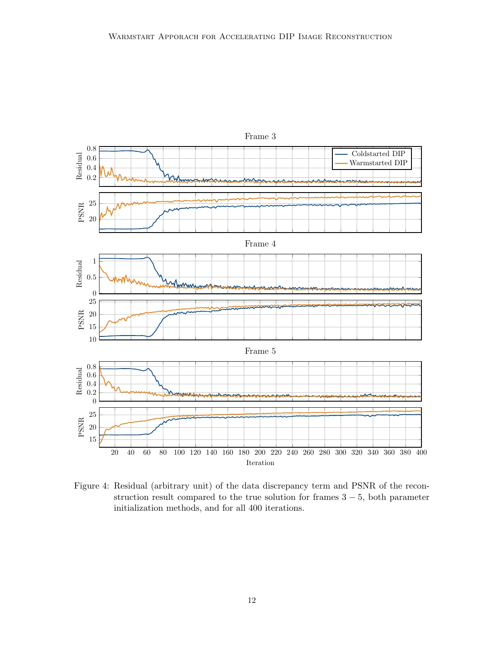

<span id="page-11-0"></span>Figure 4: Residual (arbitrary unit) of the data discrepancy term and PSNR of the reconstruction result compared to the true solution for frames  $3 - 5$ , both parameter initialization methods, and for all 400 iterations.